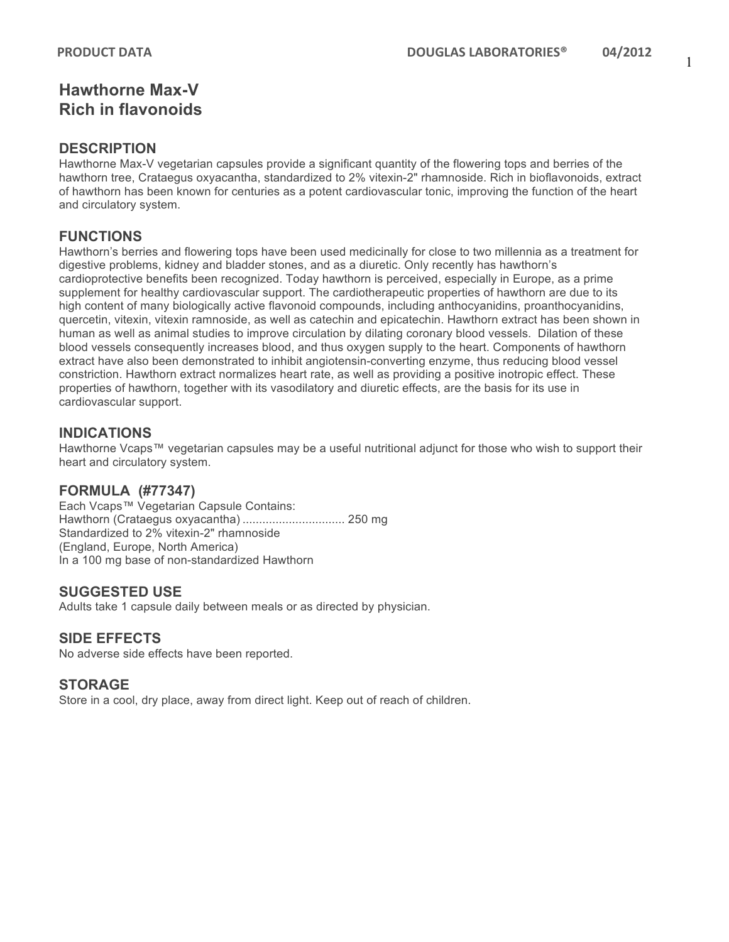## **Hawthorne Max-V Rich in flavonoids**

### **DESCRIPTION**

Hawthorne Max-V vegetarian capsules provide a significant quantity of the flowering tops and berries of the hawthorn tree, Crataegus oxyacantha, standardized to 2% vitexin-2" rhamnoside. Rich in bioflavonoids, extract of hawthorn has been known for centuries as a potent cardiovascular tonic, improving the function of the heart and circulatory system.

## **FUNCTIONS**

Hawthorn's berries and flowering tops have been used medicinally for close to two millennia as a treatment for digestive problems, kidney and bladder stones, and as a diuretic. Only recently has hawthorn's cardioprotective benefits been recognized. Today hawthorn is perceived, especially in Europe, as a prime supplement for healthy cardiovascular support. The cardiotherapeutic properties of hawthorn are due to its high content of many biologically active flavonoid compounds, including anthocyanidins, proanthocyanidins, quercetin, vitexin, vitexin ramnoside, as well as catechin and epicatechin. Hawthorn extract has been shown in human as well as animal studies to improve circulation by dilating coronary blood vessels. Dilation of these blood vessels consequently increases blood, and thus oxygen supply to the heart. Components of hawthorn extract have also been demonstrated to inhibit angiotensin-converting enzyme, thus reducing blood vessel constriction. Hawthorn extract normalizes heart rate, as well as providing a positive inotropic effect. These properties of hawthorn, together with its vasodilatory and diuretic effects, are the basis for its use in cardiovascular support.

### **INDICATIONS**

Hawthorne Vcaps™ vegetarian capsules may be a useful nutritional adjunct for those who wish to support their heart and circulatory system.

### **FORMULA (#77347)**

Each Vcaps™ Vegetarian Capsule Contains: Hawthorn (Crataegus oxyacantha) ............................... 250 mg Standardized to 2% vitexin-2" rhamnoside (England, Europe, North America) In a 100 mg base of non-standardized Hawthorn

### **SUGGESTED USE**

Adults take 1 capsule daily between meals or as directed by physician.

### **SIDE EFFECTS**

No adverse side effects have been reported.

#### **STORAGE**

Store in a cool, dry place, away from direct light. Keep out of reach of children.